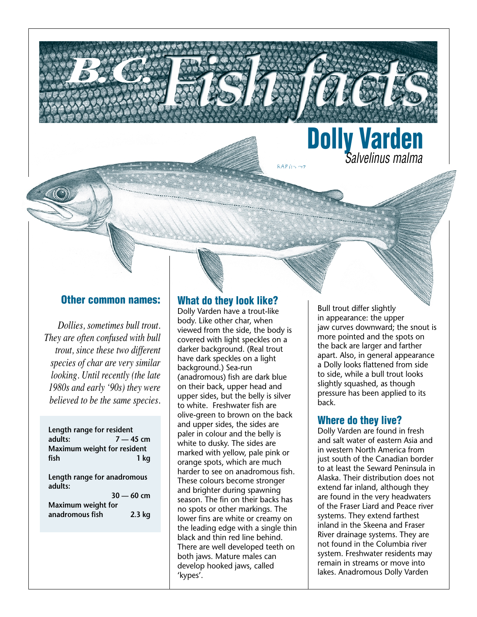

#### **Other common names:**

**B.C. (2007)** 

*Dollies, sometimes bull trout. They are often confused with bull trout, since these two different species of char are very similar looking. Until recently (the late 1980s and early '90s) they were believed to be the same species.*

| Length range for resident<br>adults:<br>Maximum weight for resident<br>fish | $7 - 45$ cm<br>1 kg |
|-----------------------------------------------------------------------------|---------------------|
| Length range for anadromous<br>adults:                                      | $30 - 60$ cm        |
| Maximum weight for<br>anadromous fish                                       | $2.3$ kg            |

### **What do they look like?**

Dolly Varden have a trout-like body. Like other char, when viewed from the side, the body is covered with light speckles on a darker background. (Real trout have dark speckles on a light background.) Sea-run (anadromous) fish are dark blue on their back, upper head and upper sides, but the belly is silver to white. Freshwater fish are olive-green to brown on the back and upper sides, the sides are paler in colour and the belly is white to dusky. The sides are marked with yellow, pale pink or orange spots, which are much harder to see on anadromous fish. These colours become stronger and brighter during spawning season. The fin on their backs has no spots or other markings. The lower fins are white or creamy on the leading edge with a single thin black and thin red line behind. There are well developed teeth on both jaws. Mature males can develop hooked jaws, called 'kypes'.

Bull trout differ slightly in appearance: the upper jaw curves downward; the snout is more pointed and the spots on the back are larger and farther apart. Also, in general appearance a Dolly looks flattened from side to side, while a bull trout looks slightly squashed, as though pressure has been applied to its back.

### **Where do they live?**

Dolly Varden are found in fresh and salt water of eastern Asia and in western North America from just south of the Canadian border to at least the Seward Peninsula in Alaska. Their distribution does not extend far inland, although they are found in the very headwaters of the Fraser Liard and Peace river systems. They extend farthest inland in the Skeena and Fraser River drainage systems. They are not found in the Columbia river system. Freshwater residents may remain in streams or move into lakes. Anadromous Dolly Varden